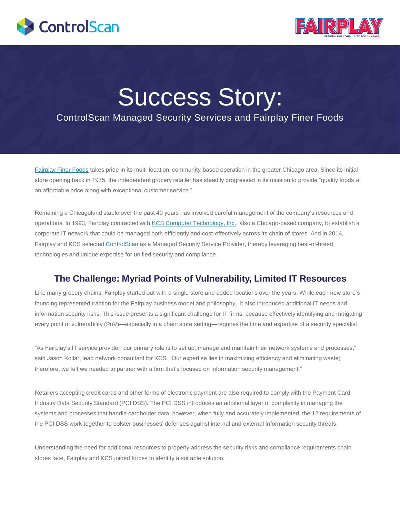



# Success Story:

## ControlScan Managed Security Services and Fairplay Finer Foods

[Fairplay](http://www.fairplayfoods.com/) [Finer Foods](http://www.fairplayfoods.com/) takes pride in its multi-location, community-based operation in the greater Chicago area. Since its initial store opening back in 1975, the independent grocery retailer has steadily progressed in its mission to provide "quality foods at an affordable price along with exceptional customer service."

Remaining a Chicagoland staple over the past 40 years has involved careful management of the company's resources and operations. In 1993, Fairplay contracted with [KCS Computer Technology, Inc.,](http://www.kcstech.com/) also a Chicago-based company, to establish a corporate IT network that could be managed both efficiently and cost-effectively across its chain of stores. And in 2014, Fairplay and KCS selected [ControlScan](https://www.controlscan.com/) as a Managed Security Service Provider, thereby leveraging best-of-breed technologies and unique expertise for unified security and compliance.

## **The Challenge: Myriad Points of Vulnerability, Limited IT Resources**

Like many grocery chains, Fairplay started out with a single store and added locations over the years. While each new store's founding represented traction for the Fairplay business model and philosophy, it also introduced additional IT needs and information security risks. This issue presents a significant challenge for IT firms, because effectively identifying and mitigating every point of vulnerability (PoV)—especially in a chain store setting—requires the time and expertise of a security specialist.

"As Fairplay's IT service provider, our primary role is to set up, manage and maintain their network systems and processes," said Jason Kollar, lead network consultant for KCS. "Our expertise lies in maximizing efficiency and eliminating waste; therefore, we felt we needed to partner with a firm that's focused on information security management."

Retailers accepting credit cards and other forms of electronic payment are also required to comply with the Payment Card Industry Data Security Standard (PCI DSS). The PCI DSS introduces an additional layer of complexity in managing the systems and processes that handle cardholder data; however, when fully and accurately implemented, the 12 requirements of the PCI DSS work together to bolster businesses' defenses against internal and external information security threats.

Understanding the need for additional resources to properly address the security risks and compliance requirements chain stores face, Fairplay and KCS joined forces to identify a suitable solution.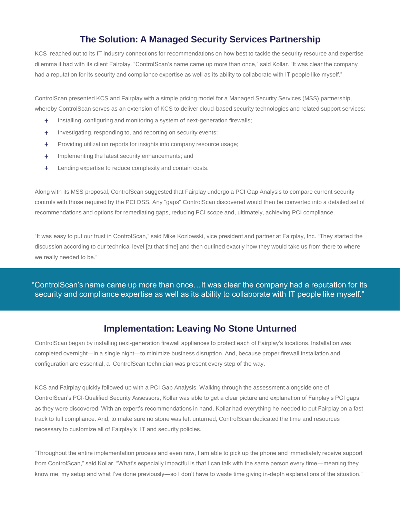### **The Solution: A Managed Security Services Partnership**

KCS reached out to its IT industry connections for recommendations on how best to tackle the security resource and expertise dilemma it had with its client Fairplay. "ControlScan's name came up more than once," said Kollar. "It was clear the company had a reputation for its security and compliance expertise as well as its ability to collaborate with IT people like myself."

ControlScan presented KCS and Fairplay with a simple pricing model for a Managed Security Services (MSS) partnership, whereby ControlScan serves as an extension of KCS to deliver cloud-based security technologies and related support services:

- Installing, configuring and monitoring a system of next-generation firewalls; ÷.
- Investigating, responding to, and reporting on security events;  $\ddot{}$
- ÷ Providing utilization reports for insights into company resource usage;
- Implementing the latest security enhancements; and ÷.
- $+$ Lending expertise to reduce complexity and contain costs.

Along with its MSS proposal, ControlScan suggested that Fairplay undergo a PCI Gap Analysis to compare current security controls with those required by the PCI DSS. Any "gaps" ControlScan discovered would then be converted into a detailed set of recommendations and options for remediating gaps, reducing PCI scope and, ultimately, achieving PCI compliance.

"It was easy to put our trust in ControlScan," said Mike Kozlowski, vice president and partner at Fairplay, Inc. "They started the discussion according to our technical level [at that time] and then outlined exactly how they would take us from there to where we really needed to be."

"ControlScan's name came up more than once…It was clear the company had a reputation for its security and compliance expertise as well as its ability to collaborate with IT people like myself."

#### **Implementation: Leaving No Stone Unturned**

ControlScan began by installing next-generation firewall appliances to protect each of Fairplay's locations. Installation was completed overnight—in a single night—to minimize business disruption. And, because proper firewall installation and configuration are essential, a ControlScan technician was present every step of the way.

KCS and Fairplay quickly followed up with a PCI Gap Analysis. Walking through the assessment alongside one of ControlScan's PCI-Qualified Security Assessors, Kollar was able to get a clear picture and explanation of Fairplay's PCI gaps as they were discovered. With an expert's recommendations in hand, Kollar had everything he needed to put Fairplay on a fast track to full compliance. And, to make sure no stone was left unturned, ControlScan dedicated the time and resources necessary to customize all of Fairplay's IT and security policies.

"Throughout the entire implementation process and even now, I am able to pick up the phone and immediately receive support from ControlScan," said Kollar. "What's especially impactful is that I can talk with the same person every time—meaning they know me, my setup and what I've done previously—so I don't have to waste time giving in-depth explanations of the situation."